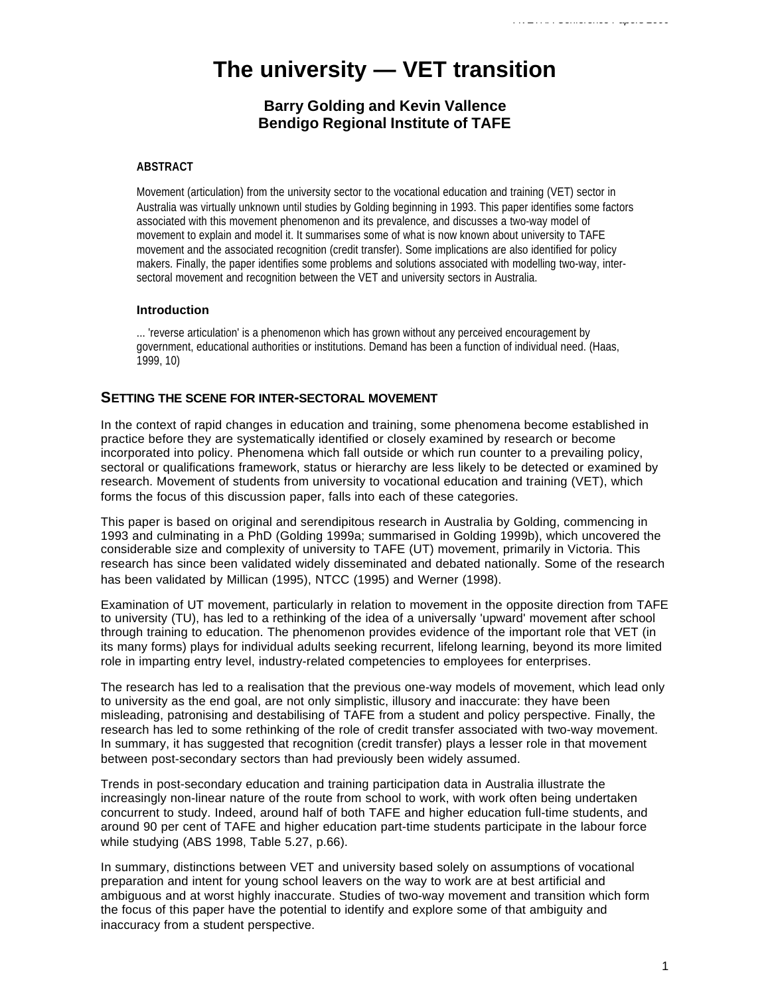# **The university — VET transition**

# **Barry Golding and Kevin Vallence Bendigo Regional Institute of TAFE**

#### **ABSTRACT**

Movement (articulation) from the university sector to the vocational education and training (VET) sector in Australia was virtually unknown until studies by Golding beginning in 1993. This paper identifies some factors associated with this movement phenomenon and its prevalence, and discusses a two-way model of movement to explain and model it. It summarises some of what is now known about university to TAFE movement and the associated recognition (credit transfer). Some implications are also identified for policy makers. Finally, the paper identifies some problems and solutions associated with modelling two-way, intersectoral movement and recognition between the VET and university sectors in Australia.

### **Introduction**

... 'reverse articulation' is a phenomenon which has grown without any perceived encouragement by government, educational authorities or institutions. Demand has been a function of individual need. (Haas, 1999, 10)

## **SETTING THE SCENE FOR INTER-SECTORAL MOVEMENT**

In the context of rapid changes in education and training, some phenomena become established in practice before they are systematically identified or closely examined by research or become incorporated into policy. Phenomena which fall outside or which run counter to a prevailing policy, sectoral or qualifications framework, status or hierarchy are less likely to be detected or examined by research. Movement of students from university to vocational education and training (VET), which forms the focus of this discussion paper, falls into each of these categories.

This paper is based on original and serendipitous research in Australia by Golding, commencing in 1993 and culminating in a PhD (Golding 1999a; summarised in Golding 1999b), which uncovered the considerable size and complexity of university to TAFE (UT) movement, primarily in Victoria. This research has since been validated widely disseminated and debated nationally. Some of the research has been validated by Millican (1995), NTCC (1995) and Werner (1998).

Examination of UT movement, particularly in relation to movement in the opposite direction from TAFE to university (TU), has led to a rethinking of the idea of a universally 'upward' movement after school through training to education. The phenomenon provides evidence of the important role that VET (in its many forms) plays for individual adults seeking recurrent, lifelong learning, beyond its more limited role in imparting entry level, industry-related competencies to employees for enterprises.

The research has led to a realisation that the previous one-way models of movement, which lead only to university as the end goal, are not only simplistic, illusory and inaccurate: they have been misleading, patronising and destabilising of TAFE from a student and policy perspective. Finally, the research has led to some rethinking of the role of credit transfer associated with two-way movement. In summary, it has suggested that recognition (credit transfer) plays a lesser role in that movement between post-secondary sectors than had previously been widely assumed.

Trends in post-secondary education and training participation data in Australia illustrate the increasingly non-linear nature of the route from school to work, with work often being undertaken concurrent to study. Indeed, around half of both TAFE and higher education full-time students, and around 90 per cent of TAFE and higher education part-time students participate in the labour force while studying (ABS 1998, Table 5.27, p.66).

In summary, distinctions between VET and university based solely on assumptions of vocational preparation and intent for young school leavers on the way to work are at best artificial and ambiguous and at worst highly inaccurate. Studies of two-way movement and transition which form the focus of this paper have the potential to identify and explore some of that ambiguity and inaccuracy from a student perspective.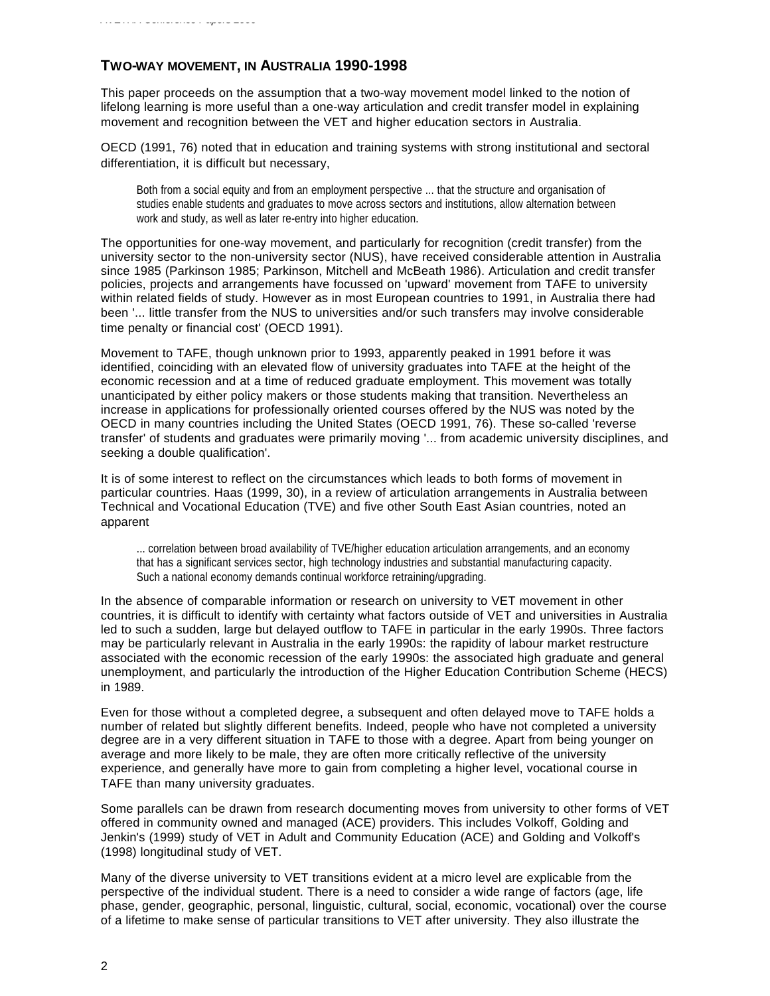## **TWO-WAY MOVEMENT, IN AUSTRALIA 1990-1998**

This paper proceeds on the assumption that a two-way movement model linked to the notion of lifelong learning is more useful than a one-way articulation and credit transfer model in explaining movement and recognition between the VET and higher education sectors in Australia.

OECD (1991, 76) noted that in education and training systems with strong institutional and sectoral differentiation, it is difficult but necessary,

Both from a social equity and from an employment perspective ... that the structure and organisation of studies enable students and graduates to move across sectors and institutions, allow alternation between work and study, as well as later re-entry into higher education.

The opportunities for one-way movement, and particularly for recognition (credit transfer) from the university sector to the non-university sector (NUS), have received considerable attention in Australia since 1985 (Parkinson 1985; Parkinson, Mitchell and McBeath 1986). Articulation and credit transfer policies, projects and arrangements have focussed on 'upward' movement from TAFE to university within related fields of study. However as in most European countries to 1991, in Australia there had been '... little transfer from the NUS to universities and/or such transfers may involve considerable time penalty or financial cost' (OECD 1991).

Movement to TAFE, though unknown prior to 1993, apparently peaked in 1991 before it was identified, coinciding with an elevated flow of university graduates into TAFE at the height of the economic recession and at a time of reduced graduate employment. This movement was totally unanticipated by either policy makers or those students making that transition. Nevertheless an increase in applications for professionally oriented courses offered by the NUS was noted by the OECD in many countries including the United States (OECD 1991, 76). These so-called 'reverse transfer' of students and graduates were primarily moving '... from academic university disciplines, and seeking a double qualification'.

It is of some interest to reflect on the circumstances which leads to both forms of movement in particular countries. Haas (1999, 30), in a review of articulation arrangements in Australia between Technical and Vocational Education (TVE) and five other South East Asian countries, noted an apparent

... correlation between broad availability of TVE/higher education articulation arrangements, and an economy that has a significant services sector, high technology industries and substantial manufacturing capacity. Such a national economy demands continual workforce retraining/upgrading.

In the absence of comparable information or research on university to VET movement in other countries, it is difficult to identify with certainty what factors outside of VET and universities in Australia led to such a sudden, large but delayed outflow to TAFE in particular in the early 1990s. Three factors may be particularly relevant in Australia in the early 1990s: the rapidity of labour market restructure associated with the economic recession of the early 1990s: the associated high graduate and general unemployment, and particularly the introduction of the Higher Education Contribution Scheme (HECS) in 1989.

Even for those without a completed degree, a subsequent and often delayed move to TAFE holds a number of related but slightly different benefits. Indeed, people who have not completed a university degree are in a very different situation in TAFE to those with a degree. Apart from being younger on average and more likely to be male, they are often more critically reflective of the university experience, and generally have more to gain from completing a higher level, vocational course in TAFE than many university graduates.

Some parallels can be drawn from research documenting moves from university to other forms of VET offered in community owned and managed (ACE) providers. This includes Volkoff, Golding and Jenkin's (1999) study of VET in Adult and Community Education (ACE) and Golding and Volkoff's (1998) longitudinal study of VET.

Many of the diverse university to VET transitions evident at a micro level are explicable from the perspective of the individual student. There is a need to consider a wide range of factors (age, life phase, gender, geographic, personal, linguistic, cultural, social, economic, vocational) over the course of a lifetime to make sense of particular transitions to VET after university. They also illustrate the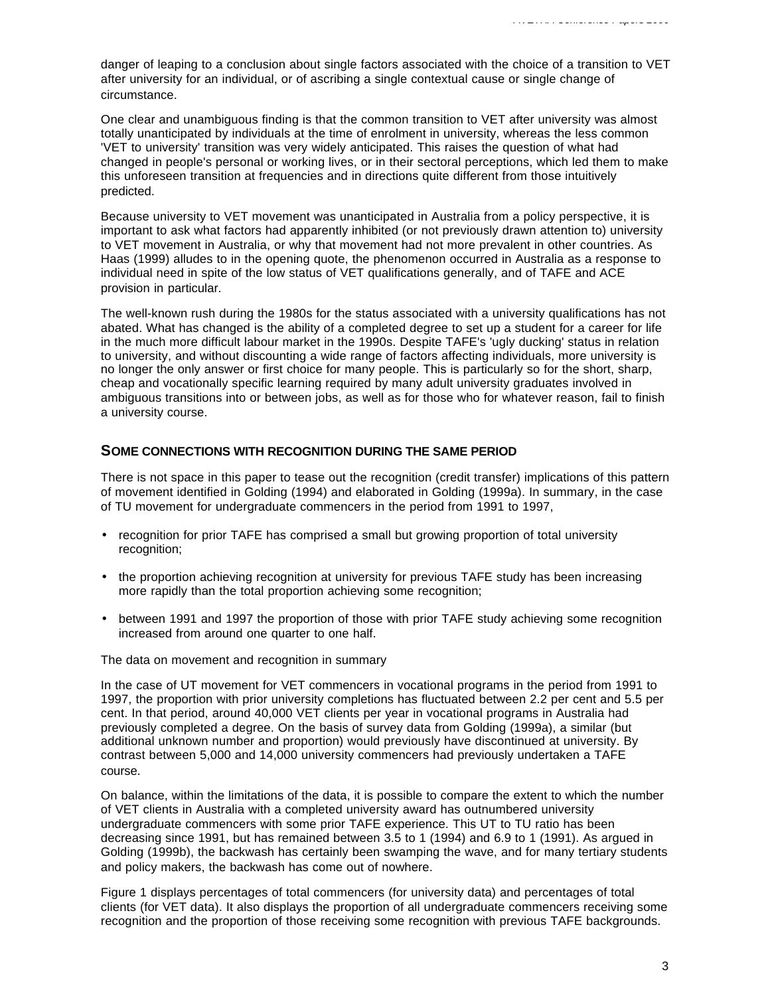danger of leaping to a conclusion about single factors associated with the choice of a transition to VET after university for an individual, or of ascribing a single contextual cause or single change of circumstance.

One clear and unambiguous finding is that the common transition to VET after university was almost totally unanticipated by individuals at the time of enrolment in university, whereas the less common 'VET to university' transition was very widely anticipated. This raises the question of what had changed in people's personal or working lives, or in their sectoral perceptions, which led them to make this unforeseen transition at frequencies and in directions quite different from those intuitively predicted.

Because university to VET movement was unanticipated in Australia from a policy perspective, it is important to ask what factors had apparently inhibited (or not previously drawn attention to) university to VET movement in Australia, or why that movement had not more prevalent in other countries. As Haas (1999) alludes to in the opening quote, the phenomenon occurred in Australia as a response to individual need in spite of the low status of VET qualifications generally, and of TAFE and ACE provision in particular.

The well-known rush during the 1980s for the status associated with a university qualifications has not abated. What has changed is the ability of a completed degree to set up a student for a career for life in the much more difficult labour market in the 1990s. Despite TAFE's 'ugly ducking' status in relation to university, and without discounting a wide range of factors affecting individuals, more university is no longer the only answer or first choice for many people. This is particularly so for the short, sharp, cheap and vocationally specific learning required by many adult university graduates involved in ambiguous transitions into or between jobs, as well as for those who for whatever reason, fail to finish a university course.

## **SOME CONNECTIONS WITH RECOGNITION DURING THE SAME PERIOD**

There is not space in this paper to tease out the recognition (credit transfer) implications of this pattern of movement identified in Golding (1994) and elaborated in Golding (1999a). In summary, in the case of TU movement for undergraduate commencers in the period from 1991 to 1997,

- recognition for prior TAFE has comprised a small but growing proportion of total university recognition;
- the proportion achieving recognition at university for previous TAFE study has been increasing more rapidly than the total proportion achieving some recognition;
- between 1991 and 1997 the proportion of those with prior TAFE study achieving some recognition increased from around one quarter to one half.

The data on movement and recognition in summary

In the case of UT movement for VET commencers in vocational programs in the period from 1991 to 1997, the proportion with prior university completions has fluctuated between 2.2 per cent and 5.5 per cent. In that period, around 40,000 VET clients per year in vocational programs in Australia had previously completed a degree. On the basis of survey data from Golding (1999a), a similar (but additional unknown number and proportion) would previously have discontinued at university. By contrast between 5,000 and 14,000 university commencers had previously undertaken a TAFE course.

On balance, within the limitations of the data, it is possible to compare the extent to which the number of VET clients in Australia with a completed university award has outnumbered university undergraduate commencers with some prior TAFE experience. This UT to TU ratio has been decreasing since 1991, but has remained between 3.5 to 1 (1994) and 6.9 to 1 (1991). As argued in Golding (1999b), the backwash has certainly been swamping the wave, and for many tertiary students and policy makers, the backwash has come out of nowhere.

Figure 1 displays percentages of total commencers (for university data) and percentages of total clients (for VET data). It also displays the proportion of all undergraduate commencers receiving some recognition and the proportion of those receiving some recognition with previous TAFE backgrounds.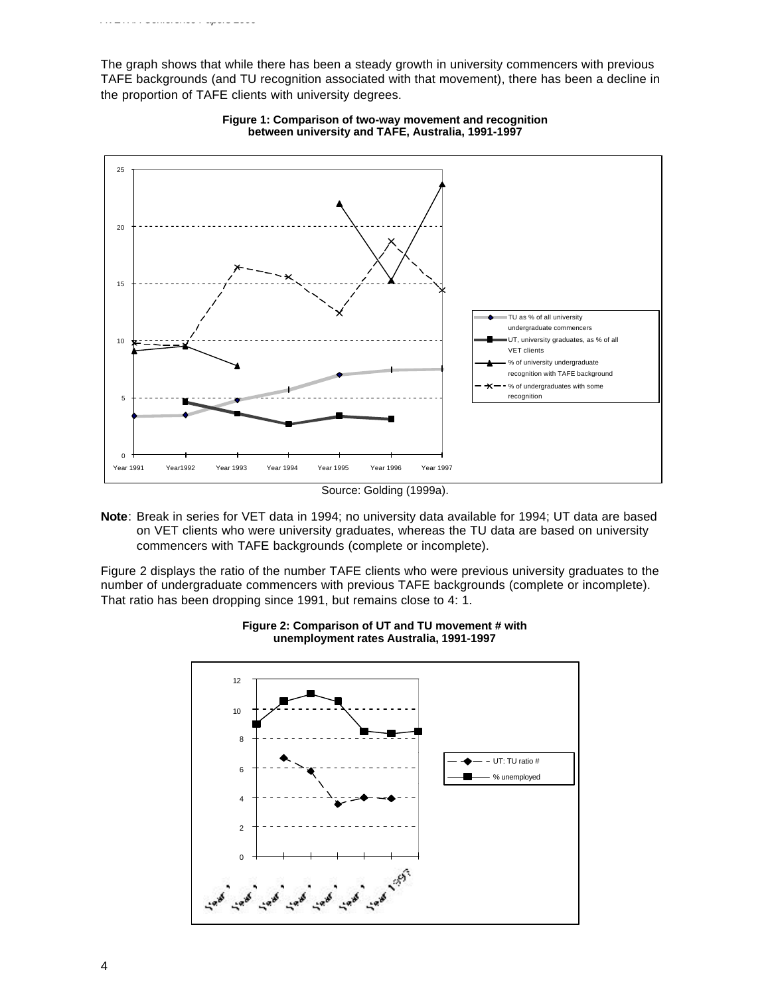*AVETRA Conference Papers 2000*



**Figure 1: Comparison of two-way movement and recognition between university and TAFE, Australia, 1991-1997**

**Note**: Break in series for VET data in 1994; no university data available for 1994; UT data are based on VET clients who were university graduates, whereas the TU data are based on university commencers with TAFE backgrounds (complete or incomplete).

Figure 2 displays the ratio of the number TAFE clients who were previous university graduates to the number of undergraduate commencers with previous TAFE backgrounds (complete or incomplete). That ratio has been dropping since 1991, but remains close to 4: 1.



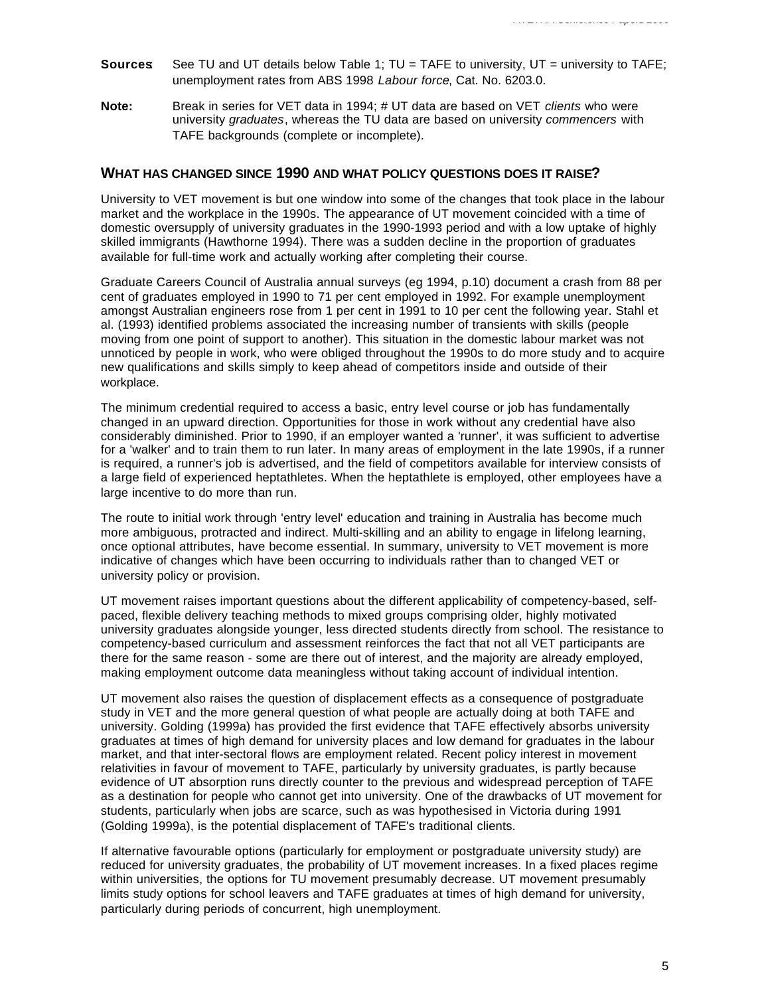- **Sources**: See TU and UT details below Table 1; TU = TAFE to university, UT = university to TAFE; unemployment rates from ABS 1998 *Labour force*, Cat. No. 6203.0.
- **Note:** Break in series for VET data in 1994; # UT data are based on VET *clients* who were university *graduates*, whereas the TU data are based on university *commencers* with TAFE backgrounds (complete or incomplete).

#### **WHAT HAS CHANGED SINCE 1990 AND WHAT POLICY QUESTIONS DOES IT RAISE?**

University to VET movement is but one window into some of the changes that took place in the labour market and the workplace in the 1990s. The appearance of UT movement coincided with a time of domestic oversupply of university graduates in the 1990-1993 period and with a low uptake of highly skilled immigrants (Hawthorne 1994). There was a sudden decline in the proportion of graduates available for full-time work and actually working after completing their course.

Graduate Careers Council of Australia annual surveys (eg 1994, p.10) document a crash from 88 per cent of graduates employed in 1990 to 71 per cent employed in 1992. For example unemployment amongst Australian engineers rose from 1 per cent in 1991 to 10 per cent the following year. Stahl et al. (1993) identified problems associated the increasing number of transients with skills (people moving from one point of support to another). This situation in the domestic labour market was not unnoticed by people in work, who were obliged throughout the 1990s to do more study and to acquire new qualifications and skills simply to keep ahead of competitors inside and outside of their workplace.

The minimum credential required to access a basic, entry level course or job has fundamentally changed in an upward direction. Opportunities for those in work without any credential have also considerably diminished. Prior to 1990, if an employer wanted a 'runner', it was sufficient to advertise for a 'walker' and to train them to run later. In many areas of employment in the late 1990s, if a runner is required, a runner's job is advertised, and the field of competitors available for interview consists of a large field of experienced heptathletes. When the heptathlete is employed, other employees have a large incentive to do more than run.

The route to initial work through 'entry level' education and training in Australia has become much more ambiguous, protracted and indirect. Multi-skilling and an ability to engage in lifelong learning, once optional attributes, have become essential. In summary, university to VET movement is more indicative of changes which have been occurring to individuals rather than to changed VET or university policy or provision.

UT movement raises important questions about the different applicability of competency-based, selfpaced, flexible delivery teaching methods to mixed groups comprising older, highly motivated university graduates alongside younger, less directed students directly from school. The resistance to competency-based curriculum and assessment reinforces the fact that not all VET participants are there for the same reason - some are there out of interest, and the majority are already employed, making employment outcome data meaningless without taking account of individual intention.

UT movement also raises the question of displacement effects as a consequence of postgraduate study in VET and the more general question of what people are actually doing at both TAFE and university. Golding (1999a) has provided the first evidence that TAFE effectively absorbs university graduates at times of high demand for university places and low demand for graduates in the labour market, and that inter-sectoral flows are employment related. Recent policy interest in movement relativities in favour of movement to TAFE, particularly by university graduates, is partly because evidence of UT absorption runs directly counter to the previous and widespread perception of TAFE as a destination for people who cannot get into university. One of the drawbacks of UT movement for students, particularly when jobs are scarce, such as was hypothesised in Victoria during 1991 (Golding 1999a), is the potential displacement of TAFE's traditional clients.

If alternative favourable options (particularly for employment or postgraduate university study) are reduced for university graduates, the probability of UT movement increases. In a fixed places regime within universities, the options for TU movement presumably decrease. UT movement presumably limits study options for school leavers and TAFE graduates at times of high demand for university, particularly during periods of concurrent, high unemployment.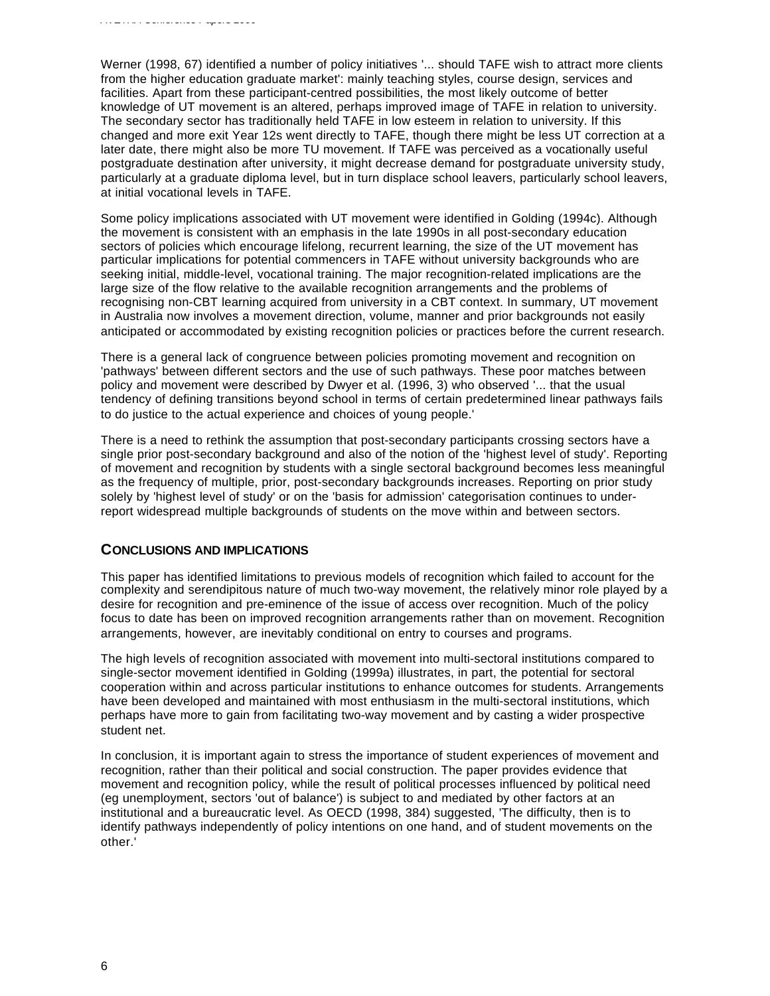Werner (1998, 67) identified a number of policy initiatives '... should TAFE wish to attract more clients from the higher education graduate market': mainly teaching styles, course design, services and facilities. Apart from these participant-centred possibilities, the most likely outcome of better knowledge of UT movement is an altered, perhaps improved image of TAFE in relation to university. The secondary sector has traditionally held TAFE in low esteem in relation to university. If this changed and more exit Year 12s went directly to TAFE, though there might be less UT correction at a later date, there might also be more TU movement. If TAFE was perceived as a vocationally useful postgraduate destination after university, it might decrease demand for postgraduate university study, particularly at a graduate diploma level, but in turn displace school leavers, particularly school leavers, at initial vocational levels in TAFE.

Some policy implications associated with UT movement were identified in Golding (1994c). Although the movement is consistent with an emphasis in the late 1990s in all post-secondary education sectors of policies which encourage lifelong, recurrent learning, the size of the UT movement has particular implications for potential commencers in TAFE without university backgrounds who are seeking initial, middle-level, vocational training. The major recognition-related implications are the large size of the flow relative to the available recognition arrangements and the problems of recognising non-CBT learning acquired from university in a CBT context. In summary, UT movement in Australia now involves a movement direction, volume, manner and prior backgrounds not easily anticipated or accommodated by existing recognition policies or practices before the current research.

There is a general lack of congruence between policies promoting movement and recognition on 'pathways' between different sectors and the use of such pathways. These poor matches between policy and movement were described by Dwyer et al. (1996, 3) who observed '... that the usual tendency of defining transitions beyond school in terms of certain predetermined linear pathways fails to do justice to the actual experience and choices of young people.'

There is a need to rethink the assumption that post-secondary participants crossing sectors have a single prior post-secondary background and also of the notion of the 'highest level of study'. Reporting of movement and recognition by students with a single sectoral background becomes less meaningful as the frequency of multiple, prior, post-secondary backgrounds increases. Reporting on prior study solely by 'highest level of study' or on the 'basis for admission' categorisation continues to underreport widespread multiple backgrounds of students on the move within and between sectors.

## **CONCLUSIONS AND IMPLICATIONS**

This paper has identified limitations to previous models of recognition which failed to account for the complexity and serendipitous nature of much two-way movement, the relatively minor role played by a desire for recognition and pre-eminence of the issue of access over recognition. Much of the policy focus to date has been on improved recognition arrangements rather than on movement. Recognition arrangements, however, are inevitably conditional on entry to courses and programs.

The high levels of recognition associated with movement into multi-sectoral institutions compared to single-sector movement identified in Golding (1999a) illustrates, in part, the potential for sectoral cooperation within and across particular institutions to enhance outcomes for students. Arrangements have been developed and maintained with most enthusiasm in the multi-sectoral institutions, which perhaps have more to gain from facilitating two-way movement and by casting a wider prospective student net.

In conclusion, it is important again to stress the importance of student experiences of movement and recognition, rather than their political and social construction. The paper provides evidence that movement and recognition policy, while the result of political processes influenced by political need (eg unemployment, sectors 'out of balance') is subject to and mediated by other factors at an institutional and a bureaucratic level. As OECD (1998, 384) suggested, 'The difficulty, then is to identify pathways independently of policy intentions on one hand, and of student movements on the other.'